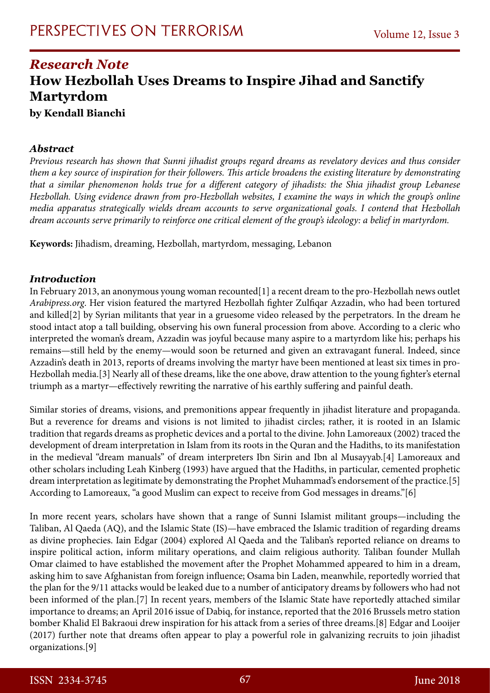# *Research Note* **How Hezbollah Uses Dreams to Inspire Jihad and Sanctify Martyrdom**

**by Kendall Bianchi**

### *Abstract*

*Previous research has shown that Sunni jihadist groups regard dreams as revelatory devices and thus consider them a key source of inspiration for their followers. This article broadens the existing literature by demonstrating that a similar phenomenon holds true for a different category of jihadists: the Shia jihadist group Lebanese Hezbollah. Using evidence drawn from pro-Hezbollah websites, I examine the ways in which the group's online media apparatus strategically wields dream accounts to serve organizational goals. I contend that Hezbollah dream accounts serve primarily to reinforce one critical element of the group's ideology: a belief in martyrdom.* 

**Keywords:** Jihadism, dreaming, Hezbollah, martyrdom, messaging, Lebanon

### *Introduction*

In February 2013, an anonymous young woman recounted[1] a recent dream to the pro-Hezbollah news outlet *Arabipress.org*. Her vision featured the martyred Hezbollah fighter Zulfiqar Azzadin, who had been tortured and killed[2] by Syrian militants that year in a gruesome video released by the perpetrators. In the dream he stood intact atop a tall building, observing his own funeral procession from above. According to a cleric who interpreted the woman's dream, Azzadin was joyful because many aspire to a martyrdom like his; perhaps his remains—still held by the enemy—would soon be returned and given an extravagant funeral. Indeed, since Azzadin's death in 2013, reports of dreams involving the martyr have been mentioned at least six times in pro-Hezbollah media.[3] Nearly all of these dreams, like the one above, draw attention to the young fighter's eternal triumph as a martyr—effectively rewriting the narrative of his earthly suffering and painful death.

Similar stories of dreams, visions, and premonitions appear frequently in jihadist literature and propaganda. But a reverence for dreams and visions is not limited to jihadist circles; rather, it is rooted in an Islamic tradition that regards dreams as prophetic devices and a portal to the divine. John Lamoreaux (2002) traced the development of dream interpretation in Islam from its roots in the Quran and the Hadiths, to its manifestation in the medieval "dream manuals" of dream interpreters Ibn Sirin and Ibn al Musayyab.[4] Lamoreaux and other scholars including Leah Kinberg (1993) have argued that the Hadiths, in particular, cemented prophetic dream interpretation as legitimate by demonstrating the Prophet Muhammad's endorsement of the practice.[5] According to Lamoreaux, "a good Muslim can expect to receive from God messages in dreams."[6]

In more recent years, scholars have shown that a range of Sunni Islamist militant groups—including the Taliban, Al Qaeda (AQ), and the Islamic State (IS)—have embraced the Islamic tradition of regarding dreams as divine prophecies. Iain Edgar (2004) explored Al Qaeda and the Taliban's reported reliance on dreams to inspire political action, inform military operations, and claim religious authority. Taliban founder Mullah Omar claimed to have established the movement after the Prophet Mohammed appeared to him in a dream, asking him to save Afghanistan from foreign influence; Osama bin Laden, meanwhile, reportedly worried that the plan for the 9/11 attacks would be leaked due to a number of anticipatory dreams by followers who had not been informed of the plan.[7] In recent years, members of the Islamic State have reportedly attached similar importance to dreams; an April 2016 issue of Dabiq, for instance, reported that the 2016 Brussels metro station bomber Khalid El Bakraoui drew inspiration for his attack from a series of three dreams.[8] Edgar and Looijer (2017) further note that dreams often appear to play a powerful role in galvanizing recruits to join jihadist organizations.[9]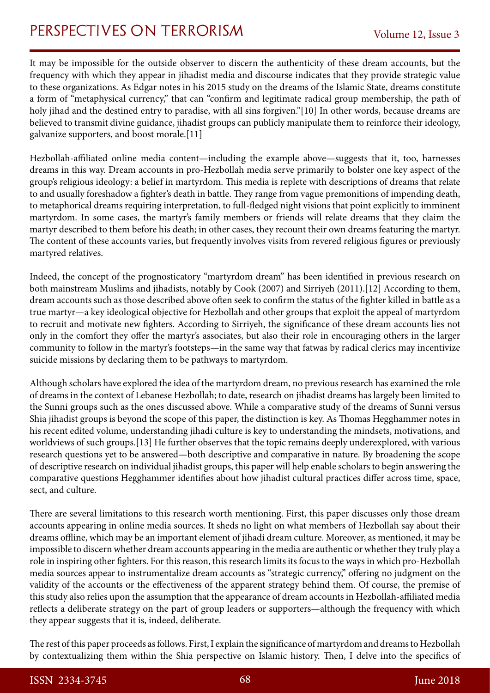# PERSPECTIVES ON TERRORISM Volume 12, Issue 3

It may be impossible for the outside observer to discern the authenticity of these dream accounts, but the frequency with which they appear in jihadist media and discourse indicates that they provide strategic value to these organizations. As Edgar notes in his 2015 study on the dreams of the Islamic State, dreams constitute a form of "metaphysical currency," that can "confirm and legitimate radical group membership, the path of holy jihad and the destined entry to paradise, with all sins forgiven."[10] In other words, because dreams are believed to transmit divine guidance, jihadist groups can publicly manipulate them to reinforce their ideology, galvanize supporters, and boost morale.[11]

Hezbollah-affiliated online media content—including the example above—suggests that it, too, harnesses dreams in this way. Dream accounts in pro-Hezbollah media serve primarily to bolster one key aspect of the group's religious ideology: a belief in martyrdom. This media is replete with descriptions of dreams that relate to and usually foreshadow a fighter's death in battle. They range from vague premonitions of impending death, to metaphorical dreams requiring interpretation, to full-fledged night visions that point explicitly to imminent martyrdom. In some cases, the martyr's family members or friends will relate dreams that they claim the martyr described to them before his death; in other cases, they recount their own dreams featuring the martyr. The content of these accounts varies, but frequently involves visits from revered religious figures or previously martyred relatives.

Indeed, the concept of the prognosticatory "martyrdom dream" has been identified in previous research on both mainstream Muslims and jihadists, notably by Cook (2007) and Sirriyeh (2011).[12] According to them, dream accounts such as those described above often seek to confirm the status of the fighter killed in battle as a true martyr—a key ideological objective for Hezbollah and other groups that exploit the appeal of martyrdom to recruit and motivate new fighters. According to Sirriyeh, the significance of these dream accounts lies not only in the comfort they offer the martyr's associates, but also their role in encouraging others in the larger community to follow in the martyr's footsteps—in the same way that fatwas by radical clerics may incentivize suicide missions by declaring them to be pathways to martyrdom.

Although scholars have explored the idea of the martyrdom dream, no previous research has examined the role of dreams in the context of Lebanese Hezbollah; to date, research on jihadist dreams has largely been limited to the Sunni groups such as the ones discussed above. While a comparative study of the dreams of Sunni versus Shia jihadist groups is beyond the scope of this paper, the distinction is key. As Thomas Hegghammer notes in his recent edited volume, understanding jihadi culture is key to understanding the mindsets, motivations, and worldviews of such groups.[13] He further observes that the topic remains deeply underexplored, with various research questions yet to be answered—both descriptive and comparative in nature. By broadening the scope of descriptive research on individual jihadist groups, this paper will help enable scholars to begin answering the comparative questions Hegghammer identifies about how jihadist cultural practices differ across time, space, sect, and culture.

There are several limitations to this research worth mentioning. First, this paper discusses only those dream accounts appearing in online media sources. It sheds no light on what members of Hezbollah say about their dreams offline, which may be an important element of jihadi dream culture. Moreover, as mentioned, it may be impossible to discern whether dream accounts appearing in the media are authentic or whether they truly play a role in inspiring other fighters. For this reason, this research limits its focus to the ways in which pro-Hezbollah media sources appear to instrumentalize dream accounts as "strategic currency," offering no judgment on the validity of the accounts or the effectiveness of the apparent strategy behind them. Of course, the premise of this study also relies upon the assumption that the appearance of dream accounts in Hezbollah-affiliated media reflects a deliberate strategy on the part of group leaders or supporters—although the frequency with which they appear suggests that it is, indeed, deliberate.

The rest of this paper proceeds as follows. First, I explain the significance of martyrdom and dreams to Hezbollah by contextualizing them within the Shia perspective on Islamic history. Then, I delve into the specifics of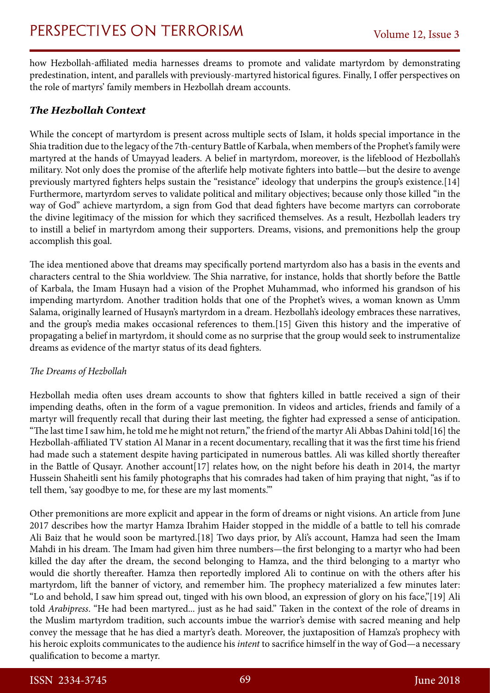how Hezbollah-affiliated media harnesses dreams to promote and validate martyrdom by demonstrating predestination, intent, and parallels with previously-martyred historical figures. Finally, I offer perspectives on the role of martyrs' family members in Hezbollah dream accounts.

## *The Hezbollah Context*

While the concept of martyrdom is present across multiple sects of Islam, it holds special importance in the Shia tradition due to the legacy of the 7th-century Battle of Karbala, when members of the Prophet's family were martyred at the hands of Umayyad leaders. A belief in martyrdom, moreover, is the lifeblood of Hezbollah's military. Not only does the promise of the afterlife help motivate fighters into battle—but the desire to avenge previously martyred fighters helps sustain the "resistance" ideology that underpins the group's existence.[14] Furthermore, martyrdom serves to validate political and military objectives; because only those killed "in the way of God" achieve martyrdom, a sign from God that dead fighters have become martyrs can corroborate the divine legitimacy of the mission for which they sacrificed themselves. As a result, Hezbollah leaders try to instill a belief in martyrdom among their supporters. Dreams, visions, and premonitions help the group accomplish this goal.

The idea mentioned above that dreams may specifically portend martyrdom also has a basis in the events and characters central to the Shia worldview. The Shia narrative, for instance, holds that shortly before the Battle of Karbala, the Imam Husayn had a vision of the Prophet Muhammad, who informed his grandson of his impending martyrdom. Another tradition holds that one of the Prophet's wives, a woman known as Umm Salama, originally learned of Husayn's martyrdom in a dream. Hezbollah's ideology embraces these narratives, and the group's media makes occasional references to them.[15] Given this history and the imperative of propagating a belief in martyrdom, it should come as no surprise that the group would seek to instrumentalize dreams as evidence of the martyr status of its dead fighters.

#### *The Dreams of Hezbollah*

Hezbollah media often uses dream accounts to show that fighters killed in battle received a sign of their impending deaths, often in the form of a vague premonition. In videos and articles, friends and family of a martyr will frequently recall that during their last meeting, the fighter had expressed a sense of anticipation. "The last time I saw him, he told me he might not return," the friend of the martyr Ali Abbas Dahini told[16] the Hezbollah-affiliated TV station Al Manar in a recent documentary, recalling that it was the first time his friend had made such a statement despite having participated in numerous battles. Ali was killed shortly thereafter in the Battle of Qusayr. Another account[17] relates how, on the night before his death in 2014, the martyr Hussein Shaheitli sent his family photographs that his comrades had taken of him praying that night, "as if to tell them, 'say goodbye to me, for these are my last moments.'"

Other premonitions are more explicit and appear in the form of dreams or night visions. An article from June 2017 describes how the martyr Hamza Ibrahim Haider stopped in the middle of a battle to tell his comrade Ali Baiz that he would soon be martyred.[18] Two days prior, by Ali's account, Hamza had seen the Imam Mahdi in his dream. The Imam had given him three numbers—the first belonging to a martyr who had been killed the day after the dream, the second belonging to Hamza, and the third belonging to a martyr who would die shortly thereafter. Hamza then reportedly implored Ali to continue on with the others after his martyrdom, lift the banner of victory, and remember him. The prophecy materialized a few minutes later: "Lo and behold, I saw him spread out, tinged with his own blood, an expression of glory on his face,"[19] Ali told *Arabipress*. "He had been martyred... just as he had said." Taken in the context of the role of dreams in the Muslim martyrdom tradition, such accounts imbue the warrior's demise with sacred meaning and help convey the message that he has died a martyr's death. Moreover, the juxtaposition of Hamza's prophecy with his heroic exploits communicates to the audience his *intent* to sacrifice himself in the way of God—a necessary qualification to become a martyr.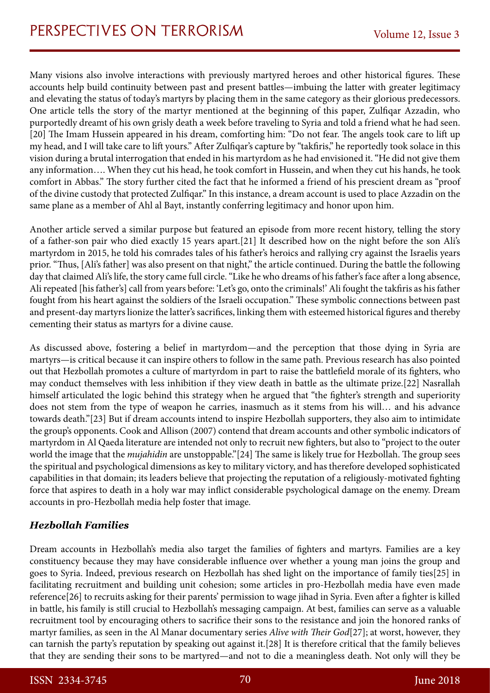Many visions also involve interactions with previously martyred heroes and other historical figures. These accounts help build continuity between past and present battles—imbuing the latter with greater legitimacy and elevating the status of today's martyrs by placing them in the same category as their glorious predecessors. One article tells the story of the martyr mentioned at the beginning of this paper, Zulfiqar Azzadin, who purportedly dreamt of his own grisly death a week before traveling to Syria and told a friend what he had seen. [20] The Imam Hussein appeared in his dream, comforting him: "Do not fear. The angels took care to lift up my head, and I will take care to lift yours." After Zulfiqar's capture by "takfiris," he reportedly took solace in this vision during a brutal interrogation that ended in his martyrdom as he had envisioned it. "He did not give them any information…. When they cut his head, he took comfort in Hussein, and when they cut his hands, he took comfort in Abbas." The story further cited the fact that he informed a friend of his prescient dream as "proof of the divine custody that protected Zulfiqar." In this instance, a dream account is used to place Azzadin on the same plane as a member of Ahl al Bayt, instantly conferring legitimacy and honor upon him.

Another article served a similar purpose but featured an episode from more recent history, telling the story of a father-son pair who died exactly 15 years apart.[21] It described how on the night before the son Ali's martyrdom in 2015, he told his comrades tales of his father's heroics and rallying cry against the Israelis years prior. "Thus, [Ali's father] was also present on that night," the article continued. During the battle the following day that claimed Ali's life, the story came full circle. "Like he who dreams of his father's face after a long absence, Ali repeated [his father's] call from years before: 'Let's go, onto the criminals!' Ali fought the takfiris as his father fought from his heart against the soldiers of the Israeli occupation." These symbolic connections between past and present-day martyrs lionize the latter's sacrifices, linking them with esteemed historical figures and thereby cementing their status as martyrs for a divine cause.

As discussed above, fostering a belief in martyrdom—and the perception that those dying in Syria are martyrs—is critical because it can inspire others to follow in the same path. Previous research has also pointed out that Hezbollah promotes a culture of martyrdom in part to raise the battlefield morale of its fighters, who may conduct themselves with less inhibition if they view death in battle as the ultimate prize.[22] Nasrallah himself articulated the logic behind this strategy when he argued that "the fighter's strength and superiority does not stem from the type of weapon he carries, inasmuch as it stems from his will… and his advance towards death."[23] But if dream accounts intend to inspire Hezbollah supporters, they also aim to intimidate the group's opponents. Cook and Allison (2007) contend that dream accounts and other symbolic indicators of martyrdom in Al Qaeda literature are intended not only to recruit new fighters, but also to "project to the outer world the image that the *mujahidin* are unstoppable."[24] The same is likely true for Hezbollah. The group sees the spiritual and psychological dimensions as key to military victory, and has therefore developed sophisticated capabilities in that domain; its leaders believe that projecting the reputation of a religiously-motivated fighting force that aspires to death in a holy war may inflict considerable psychological damage on the enemy. Dream accounts in pro-Hezbollah media help foster that image.

### *Hezbollah Families*

Dream accounts in Hezbollah's media also target the families of fighters and martyrs. Families are a key constituency because they may have considerable influence over whether a young man joins the group and goes to Syria. Indeed, previous research on Hezbollah has shed light on the importance of family ties[25] in facilitating recruitment and building unit cohesion; some articles in pro-Hezbollah media have even made reference[26] to recruits asking for their parents' permission to wage jihad in Syria. Even after a fighter is killed in battle, his family is still crucial to Hezbollah's messaging campaign. At best, families can serve as a valuable recruitment tool by encouraging others to sacrifice their sons to the resistance and join the honored ranks of martyr families, as seen in the Al Manar documentary series *Alive with Their God*[27]; at worst, however, they can tarnish the party's reputation by speaking out against it.[28] It is therefore critical that the family believes that they are sending their sons to be martyred—and not to die a meaningless death. Not only will they be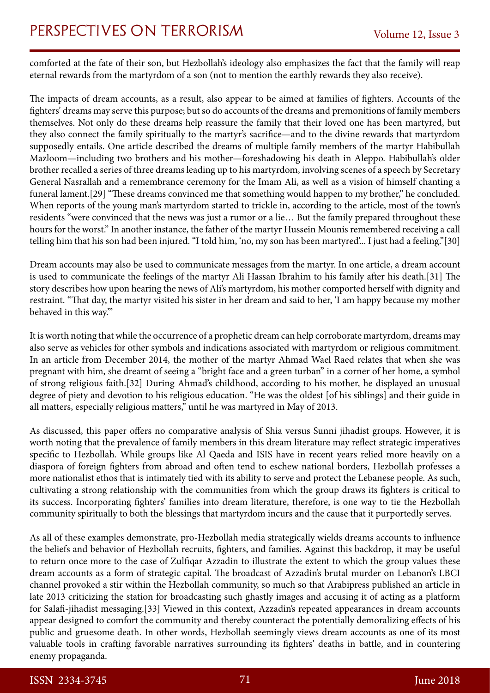# PERSPECTIVES ON TERRORISM Volume 12, Issue 3

comforted at the fate of their son, but Hezbollah's ideology also emphasizes the fact that the family will reap eternal rewards from the martyrdom of a son (not to mention the earthly rewards they also receive).

The impacts of dream accounts, as a result, also appear to be aimed at families of fighters. Accounts of the fighters' dreams may serve this purpose; but so do accounts of the dreams and premonitions of family members themselves. Not only do these dreams help reassure the family that their loved one has been martyred, but they also connect the family spiritually to the martyr's sacrifice—and to the divine rewards that martyrdom supposedly entails. One article described the dreams of multiple family members of the martyr Habibullah Mazloom—including two brothers and his mother—foreshadowing his death in Aleppo. Habibullah's older brother recalled a series of three dreams leading up to his martyrdom, involving scenes of a speech by Secretary General Nasrallah and a remembrance ceremony for the Imam Ali, as well as a vision of himself chanting a funeral lament.[29] "These dreams convinced me that something would happen to my brother," he concluded. When reports of the young man's martyrdom started to trickle in, according to the article, most of the town's residents "were convinced that the news was just a rumor or a lie… But the family prepared throughout these hours for the worst." In another instance, the father of the martyr Hussein Mounis remembered receiving a call telling him that his son had been injured. "I told him, 'no, my son has been martyred'... I just had a feeling."[30]

Dream accounts may also be used to communicate messages from the martyr. In one article, a dream account is used to communicate the feelings of the martyr Ali Hassan Ibrahim to his family after his death.[31] The story describes how upon hearing the news of Ali's martyrdom, his mother comported herself with dignity and restraint. "That day, the martyr visited his sister in her dream and said to her, 'I am happy because my mother behaved in this way.'"

It is worth noting that while the occurrence of a prophetic dream can help corroborate martyrdom, dreams may also serve as vehicles for other symbols and indications associated with martyrdom or religious commitment. In an article from December 2014, the mother of the martyr Ahmad Wael Raed relates that when she was pregnant with him, she dreamt of seeing a "bright face and a green turban" in a corner of her home, a symbol of strong religious faith.[32] During Ahmad's childhood, according to his mother, he displayed an unusual degree of piety and devotion to his religious education. "He was the oldest [of his siblings] and their guide in all matters, especially religious matters," until he was martyred in May of 2013.

As discussed, this paper offers no comparative analysis of Shia versus Sunni jihadist groups. However, it is worth noting that the prevalence of family members in this dream literature may reflect strategic imperatives specific to Hezbollah. While groups like Al Qaeda and ISIS have in recent years relied more heavily on a diaspora of foreign fighters from abroad and often tend to eschew national borders, Hezbollah professes a more nationalist ethos that is intimately tied with its ability to serve and protect the Lebanese people. As such, cultivating a strong relationship with the communities from which the group draws its fighters is critical to its success. Incorporating fighters' families into dream literature, therefore, is one way to tie the Hezbollah community spiritually to both the blessings that martyrdom incurs and the cause that it purportedly serves.

As all of these examples demonstrate, pro-Hezbollah media strategically wields dreams accounts to influence the beliefs and behavior of Hezbollah recruits, fighters, and families. Against this backdrop, it may be useful to return once more to the case of Zulfiqar Azzadin to illustrate the extent to which the group values these dream accounts as a form of strategic capital. The broadcast of Azzadin's brutal murder on Lebanon's LBCI channel provoked a stir within the Hezbollah community, so much so that Arabipress published an article in late 2013 criticizing the station for broadcasting such ghastly images and accusing it of acting as a platform for Salafi-jihadist messaging.[33] Viewed in this context, Azzadin's repeated appearances in dream accounts appear designed to comfort the community and thereby counteract the potentially demoralizing effects of his public and gruesome death. In other words, Hezbollah seemingly views dream accounts as one of its most valuable tools in crafting favorable narratives surrounding its fighters' deaths in battle, and in countering enemy propaganda.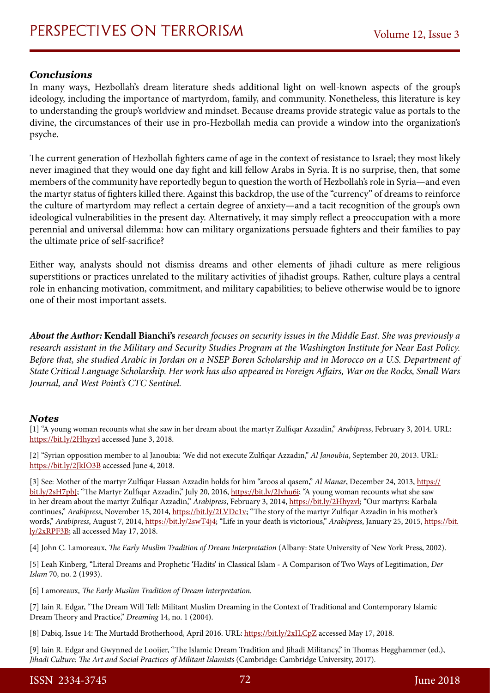### *Conclusions*

In many ways, Hezbollah's dream literature sheds additional light on well-known aspects of the group's ideology, including the importance of martyrdom, family, and community. Nonetheless, this literature is key to understanding the group's worldview and mindset. Because dreams provide strategic value as portals to the divine, the circumstances of their use in pro-Hezbollah media can provide a window into the organization's psyche.

The current generation of Hezbollah fighters came of age in the context of resistance to Israel; they most likely never imagined that they would one day fight and kill fellow Arabs in Syria. It is no surprise, then, that some members of the community have reportedly begun to question the worth of Hezbollah's role in Syria—and even the martyr status of fighters killed there. Against this backdrop, the use of the "currency" of dreams to reinforce the culture of martyrdom may reflect a certain degree of anxiety—and a tacit recognition of the group's own ideological vulnerabilities in the present day. Alternatively, it may simply reflect a preoccupation with a more perennial and universal dilemma: how can military organizations persuade fighters and their families to pay the ultimate price of self-sacrifice?

Either way, analysts should not dismiss dreams and other elements of jihadi culture as mere religious superstitions or practices unrelated to the military activities of jihadist groups. Rather, culture plays a central role in enhancing motivation, commitment, and military capabilities; to believe otherwise would be to ignore one of their most important assets.

*About the Author:* **Kendall Bianchi's** *research focuses on security issues in the Middle East. She was previously a research assistant in the Military and Security Studies Program at the Washington Institute for Near East Policy. Before that, she studied Arabic in Jordan on a NSEP Boren Scholarship and in Morocco on a U.S. Department of State Critical Language Scholarship. Her work has also appeared in Foreign Affairs, War on the Rocks, Small Wars Journal, and West Point's CTC Sentinel.*

### *Notes*

[1] "A young woman recounts what she saw in her dream about the martyr Zulfiqar Azzadin," *Arabipress*, February 3, 2014. URL: <https://bit.ly/2Hhyzvl>accessed June 3, 2018.

[2] "Syrian opposition member to al Janoubia: 'We did not execute Zulfiqar Azzadin," *Al Janoubia*, September 20, 2013. URL: <https://bit.ly/2JkIO3B>accessed June 4, 2018.

[3] See: Mother of the martyr Zulfiqar Hassan Azzadin holds for him "aroos al qasem," *Al Manar*, December 24, 2013, [https://](https://bit.ly/2sH7pbJ) [bit.ly/2sH7pbJ;](https://bit.ly/2sH7pbJ) "The Martyr Zulfiqar Azzadin," July 20, 2016, <https://bit.ly/2Jvhu6i>; "A young woman recounts what she saw in her dream about the martyr Zulfiqar Azzadin," *Arabipress*, February 3, 2014, <https://bit.ly/2Hhyzvl>; "Our martyrs: Karbala continues," *Arabipress*, November 15, 2014,<https://bit.ly/2LVDc1v>; "The story of the martyr Zulfiqar Azzadin in his mother's words," *Arabipress*, August 7, 2014,<https://bit.ly/2swT4j4>; "Life in your death is victorious," *Arabipress*, January 25, 2015, [https://bit.](https://bit.ly/2xRPF3B) [ly/2xRPF3B;](https://bit.ly/2xRPF3B) all accessed May 17, 2018.

[4] John C. Lamoreaux, *The Early Muslim Tradition of Dream Interpretation* (Albany: State University of New York Press, 2002).

[5] Leah Kinberg, "Literal Dreams and Prophetic 'Hadits' in Classical Islam - A Comparison of Two Ways of Legitimation, *Der Islam* 70, no. 2 (1993).

[6] Lamoreaux*, The Early Muslim Tradition of Dream Interpretation.*

[7] Iain R. Edgar, "The Dream Will Tell: Militant Muslim Dreaming in the Context of Traditional and Contemporary Islamic Dream Theory and Practice," *Dreaming* 14, no. 1 (2004).

[8] Dabiq, Issue 14: The Murtadd Brotherhood, April 2016. URL: <https://bit.ly/2xILCpZ>accessed May 17, 2018.

[9] Iain R. Edgar and Gwynned de Looijer, "The Islamic Dream Tradition and Jihadi Militancy," in Thomas Hegghammer (ed.), *Jihadi Culture: The Art and Social Practices of Militant Islamists* (Cambridge: Cambridge University, 2017).